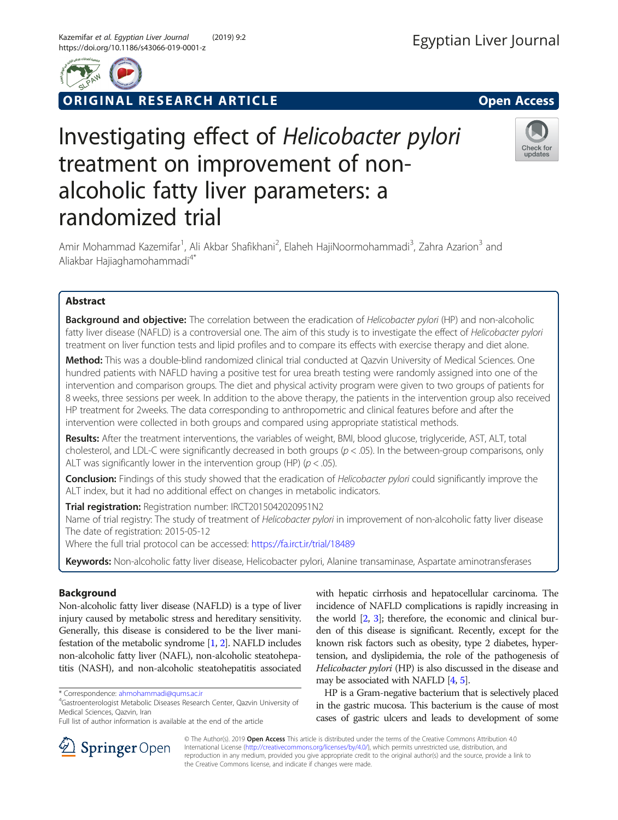

ORIGINAL RESEARCH ARTICLE **Solution Contract Contract Contract Contract Contract Contract Contract Contract Contract Contract Contract Contract Contract Contract Contract Contract Contract Contract Contract Contract Contra** 



# Investigating effect of Helicobacter pylori treatment on improvement of nonalcoholic fatty liver parameters: a randomized trial



Amir Mohammad Kazemifar<sup>1</sup>, Ali Akbar Shafikhani<sup>2</sup>, Elaheh HajiNoormohammadi<sup>3</sup>, Zahra Azarion<sup>3</sup> and Aliakbar Hajiaghamohammadi<sup>4\*</sup>

# Abstract

Background and objective: The correlation between the eradication of Helicobacter pylori (HP) and non-alcoholic fatty liver disease (NAFLD) is a controversial one. The aim of this study is to investigate the effect of Helicobacter pylori treatment on liver function tests and lipid profiles and to compare its effects with exercise therapy and diet alone.

Method: This was a double-blind randomized clinical trial conducted at Qazvin University of Medical Sciences. One hundred patients with NAFLD having a positive test for urea breath testing were randomly assigned into one of the intervention and comparison groups. The diet and physical activity program were given to two groups of patients for 8 weeks, three sessions per week. In addition to the above therapy, the patients in the intervention group also received HP treatment for 2weeks. The data corresponding to anthropometric and clinical features before and after the intervention were collected in both groups and compared using appropriate statistical methods.

Results: After the treatment interventions, the variables of weight, BMI, blood glucose, triglyceride, AST, ALT, total cholesterol, and LDL-C were significantly decreased in both groups  $(p < .05)$ . In the between-group comparisons, only ALT was significantly lower in the intervention group (HP) ( $p < .05$ ).

**Conclusion:** Findings of this study showed that the eradication of Helicobacter pylori could significantly improve the ALT index, but it had no additional effect on changes in metabolic indicators.

Trial registration: Registration number: IRCT2015042020951N2

Name of trial registry: The study of treatment of *Helicobacter pylori* in improvement of non-alcoholic fatty liver disease The date of registration: 2015-05-12

Where the full trial protocol can be accessed: <https://fa.irct.ir/trial/18489>

Keywords: Non-alcoholic fatty liver disease, Helicobacter pylori, Alanine transaminase, Aspartate aminotransferases

# Background

Non-alcoholic fatty liver disease (NAFLD) is a type of liver injury caused by metabolic stress and hereditary sensitivity. Generally, this disease is considered to be the liver manifestation of the metabolic syndrome [[1](#page-4-0), [2\]](#page-4-0). NAFLD includes non-alcoholic fatty liver (NAFL), non-alcoholic steatohepatitis (NASH), and non-alcoholic steatohepatitis associated

Gastroenterologist Metabolic Diseases Research Center, Qazvin University of Medical Sciences, Qazvin, Iran

with hepatic cirrhosis and hepatocellular carcinoma. The incidence of NAFLD complications is rapidly increasing in the world [\[2,](#page-4-0) [3\]](#page-4-0); therefore, the economic and clinical burden of this disease is significant. Recently, except for the known risk factors such as obesity, type 2 diabetes, hypertension, and dyslipidemia, the role of the pathogenesis of Helicobacter pylori (HP) is also discussed in the disease and may be associated with NAFLD [\[4,](#page-4-0) [5](#page-4-0)].

HP is a Gram-negative bacterium that is selectively placed in the gastric mucosa. This bacterium is the cause of most cases of gastric ulcers and leads to development of some



© The Author(s). 2019 Open Access This article is distributed under the terms of the Creative Commons Attribution 4.0 International License ([http://creativecommons.org/licenses/by/4.0/\)](http://creativecommons.org/licenses/by/4.0/), which permits unrestricted use, distribution, and reproduction in any medium, provided you give appropriate credit to the original author(s) and the source, provide a link to the Creative Commons license, and indicate if changes were made.

<sup>\*</sup> Correspondence: [ahmohammadi@qums.ac.ir](mailto:ahmohammadi@qums.ac.ir) <sup>4</sup>

Full list of author information is available at the end of the article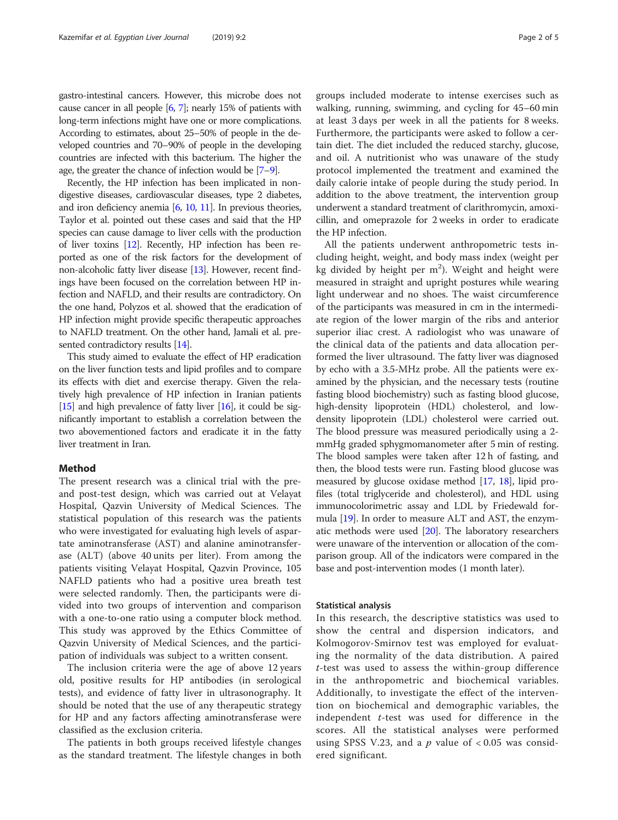gastro-intestinal cancers. However, this microbe does not cause cancer in all people [\[6](#page-4-0), [7\]](#page-4-0); nearly 15% of patients with long-term infections might have one or more complications. According to estimates, about 25–50% of people in the developed countries and 70–90% of people in the developing countries are infected with this bacterium. The higher the age, the greater the chance of infection would be [[7](#page-4-0)–[9\]](#page-4-0).

Recently, the HP infection has been implicated in nondigestive diseases, cardiovascular diseases, type 2 diabetes, and iron deficiency anemia [\[6,](#page-4-0) [10,](#page-4-0) [11](#page-4-0)]. In previous theories, Taylor et al. pointed out these cases and said that the HP species can cause damage to liver cells with the production of liver toxins [\[12\]](#page-4-0). Recently, HP infection has been reported as one of the risk factors for the development of non-alcoholic fatty liver disease [[13\]](#page-4-0). However, recent findings have been focused on the correlation between HP infection and NAFLD, and their results are contradictory. On the one hand, Polyzos et al. showed that the eradication of HP infection might provide specific therapeutic approaches to NAFLD treatment. On the other hand, Jamali et al. presented contradictory results [\[14\]](#page-4-0).

This study aimed to evaluate the effect of HP eradication on the liver function tests and lipid profiles and to compare its effects with diet and exercise therapy. Given the relatively high prevalence of HP infection in Iranian patients [[15](#page-4-0)] and high prevalence of fatty liver  $[16]$  $[16]$  $[16]$ , it could be significantly important to establish a correlation between the two abovementioned factors and eradicate it in the fatty liver treatment in Iran.

# Method

The present research was a clinical trial with the preand post-test design, which was carried out at Velayat Hospital, Qazvin University of Medical Sciences. The statistical population of this research was the patients who were investigated for evaluating high levels of aspartate aminotransferase (AST) and alanine aminotransferase (ALT) (above 40 units per liter). From among the patients visiting Velayat Hospital, Qazvin Province, 105 NAFLD patients who had a positive urea breath test were selected randomly. Then, the participants were divided into two groups of intervention and comparison with a one-to-one ratio using a computer block method. This study was approved by the Ethics Committee of Qazvin University of Medical Sciences, and the participation of individuals was subject to a written consent.

The inclusion criteria were the age of above 12 years old, positive results for HP antibodies (in serological tests), and evidence of fatty liver in ultrasonography. It should be noted that the use of any therapeutic strategy for HP and any factors affecting aminotransferase were classified as the exclusion criteria.

The patients in both groups received lifestyle changes as the standard treatment. The lifestyle changes in both groups included moderate to intense exercises such as walking, running, swimming, and cycling for 45–60 min at least 3 days per week in all the patients for 8 weeks. Furthermore, the participants were asked to follow a certain diet. The diet included the reduced starchy, glucose, and oil. A nutritionist who was unaware of the study protocol implemented the treatment and examined the daily calorie intake of people during the study period. In addition to the above treatment, the intervention group underwent a standard treatment of clarithromycin, amoxicillin, and omeprazole for 2 weeks in order to eradicate the HP infection.

All the patients underwent anthropometric tests including height, weight, and body mass index (weight per kg divided by height per  $m^2$ ). Weight and height were measured in straight and upright postures while wearing light underwear and no shoes. The waist circumference of the participants was measured in cm in the intermediate region of the lower margin of the ribs and anterior superior iliac crest. A radiologist who was unaware of the clinical data of the patients and data allocation performed the liver ultrasound. The fatty liver was diagnosed by echo with a 3.5-MHz probe. All the patients were examined by the physician, and the necessary tests (routine fasting blood biochemistry) such as fasting blood glucose, high-density lipoprotein (HDL) cholesterol, and lowdensity lipoprotein (LDL) cholesterol were carried out. The blood pressure was measured periodically using a 2 mmHg graded sphygmomanometer after 5 min of resting. The blood samples were taken after 12 h of fasting, and then, the blood tests were run. Fasting blood glucose was measured by glucose oxidase method [\[17](#page-4-0), [18\]](#page-4-0), lipid profiles (total triglyceride and cholesterol), and HDL using immunocolorimetric assay and LDL by Friedewald formula [[19](#page-4-0)]. In order to measure ALT and AST, the enzymatic methods were used [\[20\]](#page-4-0). The laboratory researchers were unaware of the intervention or allocation of the comparison group. All of the indicators were compared in the base and post-intervention modes (1 month later).

#### Statistical analysis

In this research, the descriptive statistics was used to show the central and dispersion indicators, and Kolmogorov-Smirnov test was employed for evaluating the normality of the data distribution. A paired t-test was used to assess the within-group difference in the anthropometric and biochemical variables. Additionally, to investigate the effect of the intervention on biochemical and demographic variables, the independent  $t$ -test was used for difference in the scores. All the statistical analyses were performed using SPSS V.23, and a  $p$  value of  $< 0.05$  was considered significant.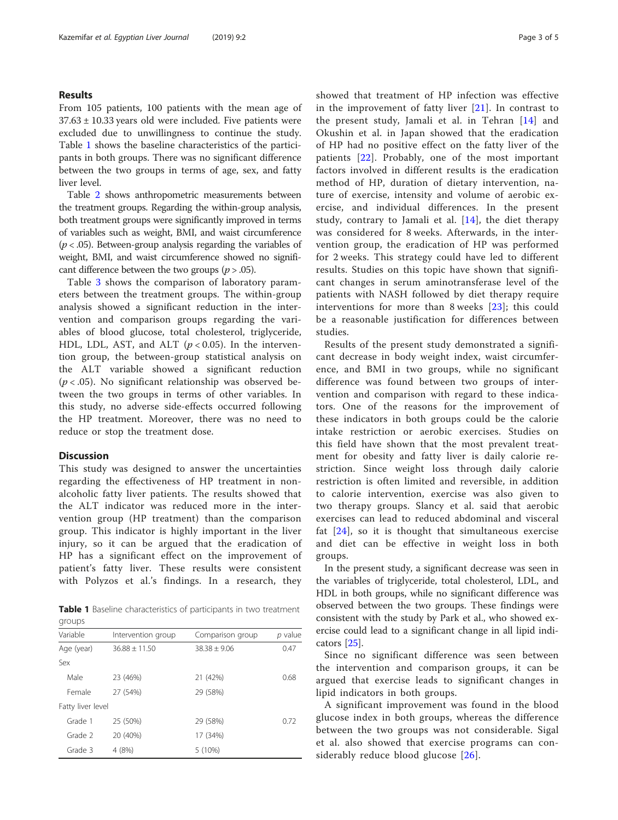## Results

From 105 patients, 100 patients with the mean age of  $37.63 \pm 10.33$  years old were included. Five patients were excluded due to unwillingness to continue the study. Table 1 shows the baseline characteristics of the participants in both groups. There was no significant difference between the two groups in terms of age, sex, and fatty liver level.

Table [2](#page-3-0) shows anthropometric measurements between the treatment groups. Regarding the within-group analysis, both treatment groups were significantly improved in terms of variables such as weight, BMI, and waist circumference  $(p < .05)$ . Between-group analysis regarding the variables of weight, BMI, and waist circumference showed no significant difference between the two groups ( $p > .05$ ).

Table [3](#page-3-0) shows the comparison of laboratory parameters between the treatment groups. The within-group analysis showed a significant reduction in the intervention and comparison groups regarding the variables of blood glucose, total cholesterol, triglyceride, HDL, LDL, AST, and ALT ( $p < 0.05$ ). In the intervention group, the between-group statistical analysis on the ALT variable showed a significant reduction  $(p < .05)$ . No significant relationship was observed between the two groups in terms of other variables. In this study, no adverse side-effects occurred following the HP treatment. Moreover, there was no need to reduce or stop the treatment dose.

## **Discussion**

This study was designed to answer the uncertainties regarding the effectiveness of HP treatment in nonalcoholic fatty liver patients. The results showed that the ALT indicator was reduced more in the intervention group (HP treatment) than the comparison group. This indicator is highly important in the liver injury, so it can be argued that the eradication of HP has a significant effect on the improvement of patient's fatty liver. These results were consistent with Polyzos et al.'s findings. In a research, they

Table 1 Baseline characteristics of participants in two treatment groups

| Variable          | Intervention group | Comparison group | $p$ value |  |
|-------------------|--------------------|------------------|-----------|--|
| Age (year)        | $36.88 \pm 11.50$  | $38.38 + 9.06$   | 0.47      |  |
| Sex               |                    |                  |           |  |
| Male              | 23 (46%)           | 21 (42%)         | 0.68      |  |
| Female            | 27 (54%)           | 29 (58%)         |           |  |
| Fatty liver level |                    |                  |           |  |
| Grade 1           | 25 (50%)           | 29 (58%)         | 0.72      |  |
| Grade 2           | 20 (40%)           | 17 (34%)         |           |  |
| Grade 3           | 4(8%)              | 5(10%)           |           |  |

showed that treatment of HP infection was effective in the improvement of fatty liver  $[21]$  $[21]$  $[21]$ . In contrast to the present study, Jamali et al. in Tehran [\[14](#page-4-0)] and Okushin et al. in Japan showed that the eradication of HP had no positive effect on the fatty liver of the patients [\[22\]](#page-4-0). Probably, one of the most important factors involved in different results is the eradication method of HP, duration of dietary intervention, nature of exercise, intensity and volume of aerobic exercise, and individual differences. In the present study, contrary to Jamali et al. [[14](#page-4-0)], the diet therapy was considered for 8 weeks. Afterwards, in the intervention group, the eradication of HP was performed for 2 weeks. This strategy could have led to different results. Studies on this topic have shown that significant changes in serum aminotransferase level of the patients with NASH followed by diet therapy require interventions for more than 8 weeks [[23](#page-4-0)]; this could be a reasonable justification for differences between studies.

Results of the present study demonstrated a significant decrease in body weight index, waist circumference, and BMI in two groups, while no significant difference was found between two groups of intervention and comparison with regard to these indicators. One of the reasons for the improvement of these indicators in both groups could be the calorie intake restriction or aerobic exercises. Studies on this field have shown that the most prevalent treatment for obesity and fatty liver is daily calorie restriction. Since weight loss through daily calorie restriction is often limited and reversible, in addition to calorie intervention, exercise was also given to two therapy groups. Slancy et al. said that aerobic exercises can lead to reduced abdominal and visceral fat [\[24](#page-4-0)], so it is thought that simultaneous exercise and diet can be effective in weight loss in both groups.

In the present study, a significant decrease was seen in the variables of triglyceride, total cholesterol, LDL, and HDL in both groups, while no significant difference was observed between the two groups. These findings were consistent with the study by Park et al., who showed exercise could lead to a significant change in all lipid indicators [\[25](#page-4-0)].

Since no significant difference was seen between the intervention and comparison groups, it can be argued that exercise leads to significant changes in lipid indicators in both groups.

A significant improvement was found in the blood glucose index in both groups, whereas the difference between the two groups was not considerable. Sigal et al. also showed that exercise programs can considerably reduce blood glucose [\[26\]](#page-4-0).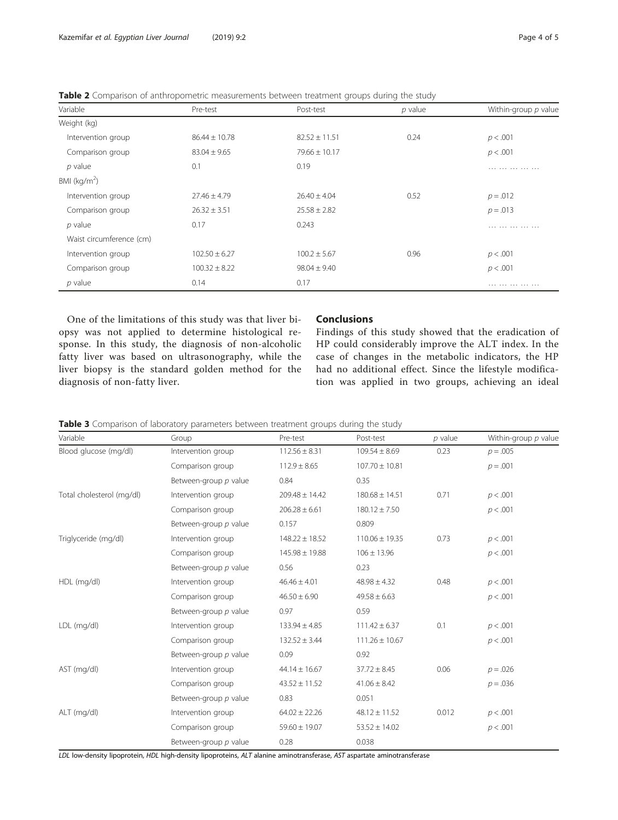<span id="page-3-0"></span>

|  |  | <b>Table 2</b> Comparison of anthropometric measurements between treatment groups during the study |  |  |  |  |  |  |  |
|--|--|----------------------------------------------------------------------------------------------------|--|--|--|--|--|--|--|
|--|--|----------------------------------------------------------------------------------------------------|--|--|--|--|--|--|--|

| Variable                 | Pre-test          | Post-test         | $p$ value | Within-group $p$ value |
|--------------------------|-------------------|-------------------|-----------|------------------------|
| Weight (kg)              |                   |                   |           |                        |
| Intervention group       | $86.44 \pm 10.78$ | $82.52 \pm 11.51$ | 0.24      | p < .001               |
| Comparison group         | $83.04 \pm 9.65$  | $79.66 \pm 10.17$ |           | p < .001               |
| $p$ value                | 0.1               | 0.19              |           | .                      |
| BMI ( $kg/m2$ )          |                   |                   |           |                        |
| Intervention group       | $27.46 \pm 4.79$  | $26.40 \pm 4.04$  | 0.52      | $p = .012$             |
| Comparison group         | $26.32 \pm 3.51$  | $25.58 \pm 2.82$  |           | $p = .013$             |
| $p$ value                | 0.17              | 0.243             |           | .                      |
| Waist circumference (cm) |                   |                   |           |                        |
| Intervention group       | $102.50 \pm 6.27$ | $100.2 \pm 5.67$  | 0.96      | p < .001               |
| Comparison group         | $100.32 \pm 8.22$ | $98.04 \pm 9.40$  |           | p < .001               |
| $p$ value                | 0.14              | 0.17              |           | .                      |

One of the limitations of this study was that liver biopsy was not applied to determine histological response. In this study, the diagnosis of non-alcoholic fatty liver was based on ultrasonography, while the liver biopsy is the standard golden method for the diagnosis of non-fatty liver.

# **Conclusions**

Findings of this study showed that the eradication of HP could considerably improve the ALT index. In the case of changes in the metabolic indicators, the HP had no additional effect. Since the lifestyle modification was applied in two groups, achieving an ideal

| Table 3 Comparison of laboratory parameters between treatment groups during the study |  |  |  |  |
|---------------------------------------------------------------------------------------|--|--|--|--|
|---------------------------------------------------------------------------------------|--|--|--|--|

| Variable                  | Group                 | Pre-test           | Post-test          | $p$ value | Within-group p value |
|---------------------------|-----------------------|--------------------|--------------------|-----------|----------------------|
| Blood glucose (mg/dl)     | Intervention group    | $112.56 \pm 8.31$  | $109.54 \pm 8.69$  | 0.23      | $p = .005$           |
|                           | Comparison group      | $112.9 \pm 8.65$   | $107.70 \pm 10.81$ |           | $p = .001$           |
|                           | Between-group p value | 0.84               | 0.35               |           |                      |
| Total cholesterol (mg/dl) | Intervention group    | $209.48 \pm 14.42$ | $180.68 \pm 14.51$ | 0.71      | p < .001             |
|                           | Comparison group      | $206.28 \pm 6.61$  | $180.12 \pm 7.50$  |           | p < .001             |
|                           | Between-group p value | 0.157              | 0.809              |           |                      |
| Triglyceride (mg/dl)      | Intervention group    | $148.22 \pm 18.52$ | $110.06 \pm 19.35$ | 0.73      | p < .001             |
|                           | Comparison group      | $145.98 \pm 19.88$ | $106 \pm 13.96$    |           | p < .001             |
|                           | Between-group p value | 0.56               | 0.23               |           |                      |
| HDL (mg/dl)               | Intervention group    | $46.46 \pm 4.01$   | $48.98 \pm 4.32$   | 0.48      | p < .001             |
|                           | Comparison group      | $46.50 \pm 6.90$   | $49.58 \pm 6.63$   |           | p < .001             |
|                           | Between-group p value | 0.97               | 0.59               |           |                      |
| LDL (mg/dl)               | Intervention group    | $133.94 \pm 4.85$  | $111.42 \pm 6.37$  | 0.1       | p < .001             |
|                           | Comparison group      | $132.52 \pm 3.44$  | $111.26 \pm 10.67$ |           | p < .001             |
|                           | Between-group p value | 0.09               | 0.92               |           |                      |
| AST (mg/dl)               | Intervention group    | $44.14 \pm 16.67$  | $37.72 \pm 8.45$   | 0.06      | $p = 0.026$          |
|                           | Comparison group      | $43.52 \pm 11.52$  | $41.06 \pm 8.42$   |           | $p = .036$           |
|                           | Between-group p value | 0.83               | 0.051              |           |                      |
| ALT (mg/dl)               | Intervention group    | $64.02 \pm 22.26$  | $48.12 \pm 11.52$  | 0.012     | p < .001             |
|                           | Comparison group      | $59.60 \pm 19.07$  | $53.52 \pm 14.02$  |           | p < .001             |
|                           | Between-group p value | 0.28               | 0.038              |           |                      |

LDL low-density lipoprotein, HDL high-density lipoproteins, ALT alanine aminotransferase, AST aspartate aminotransferase